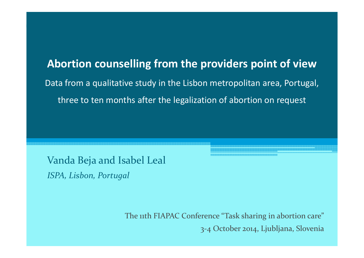**Abortion counselling from the providers point of view**Data from a qualitative study in the Lisbon metropolitan area, Portugal, three to ten months after the legalization of abortion on request

Vanda Beja and Isabel Leal

*ISPA, Lisbon, Portugal*

The 11th FIAPAC Conference "Task sharing in abortion care" 3-4 October 2014, Ljubljana, Slovenia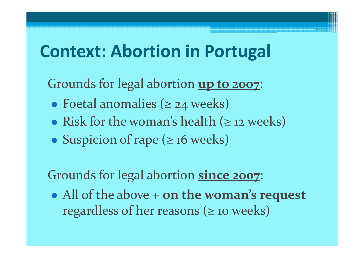### **Context: Abortion in Portugal**

Grounds for legal abortion **up to 2007**:

- $\bullet$ Foetal anomalies (≥ 24 weeks)
- $\bullet$ • Risk for the woman's health  $(≥ 12$  weeks)
- $\bullet$ Suspicion of rape (≥ 16 weeks)

Grounds for legal abortion **since 2007**:

 $\bullet$  All of the above + **on the woman's request**  regardless of her reasons  $(≥$  10 weeks)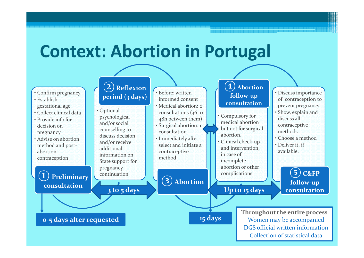

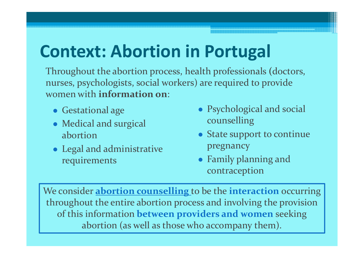## **Context: Abortion in Portugal**

Throughout the abortion process, health professionals **(**doctors, nurses, psychologists, social workers) are required to provide women with **information on**:

- Gestational age
- Medical and surgical abortion
- Legal and administrative requirements
- Psychological and social counselling
- **•** State support to continue pregnancy
- Family planning and contraception

We consider **abortion counselling** to be the **interaction** occurring throughout the entire abortion process and involving the provision of this information **between providers and women** seeking abortion (as well as those who accompany them).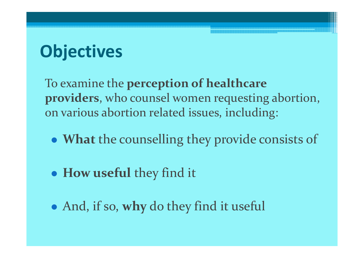# **Objectives**

To examine the **perception of healthcare providers**, who counsel women requesting abortion, on various abortion related issues, including:

- $\bullet$ **What** the counselling they provide consists of
- $\bullet$ **How useful** they find it
- $\bullet$ And, if so, **why** do they find it useful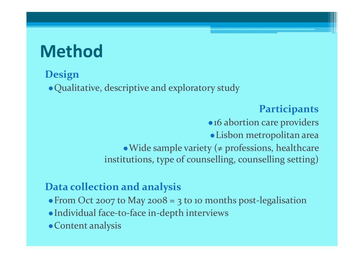## **Method**

#### **Design**

Qualitative, descriptive and exploratory study

#### **Participants**

• 16 abortion care providers Lisbon metropolitan area $\bullet$  Wide sample variety ( $\neq$  professions, healthcare institutions, type of counselling, counselling setting)

#### **Data collection and analysis**

- From Oct 2007 to May 2008 = 3 to 10 months post-legalisation
- Individual face-to-face in-depth interviews
- Content analysis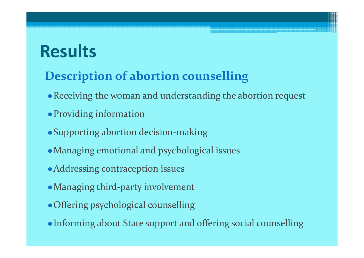### **Description of abortion counselling**

- Receiving the woman and understanding the abortion request
- Providing information
- Supporting abortion decision-making
- Managing emotional and psychological issues• Supporting abortion decision-m<br>• Managing emotional and psycho<br>• Addressing contraception issues
- 
- Managing third-party involvement
- Offering psychological counselling
- Informing about State support and offering social counselling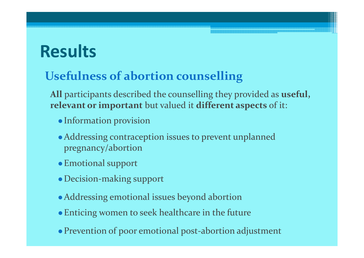### **Usefulness of abortion counselling**

**All** participants described the counselling they provided as **useful, relevant or important** but valued it **different aspects** of it:

- Information provision
- Addressing contraception issues to prevent unplanned pregnancy/abortion
- Emotional support
- Decision-making support
- Addressing emotional issues beyond abortion
- Enticing women to seek healthcare in the future
- Prevention of poor emotional post-abortion adjustment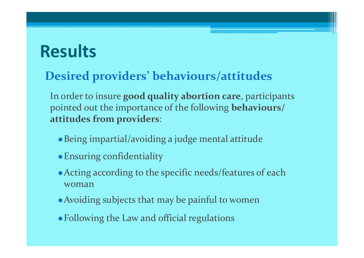### **Desired providers' behaviours/attitudes**

In order to insure **good quality abortion care**, participants pointed out the importance of the following **behaviours/ attitudes from providers**:

- Being impartial/avoiding a judge mental attitude
- Ensuring confidentiality
- Acting according to the specific needs/features of each woman
- Avoiding subjects that may be painful to women
- Following the Law and official regulations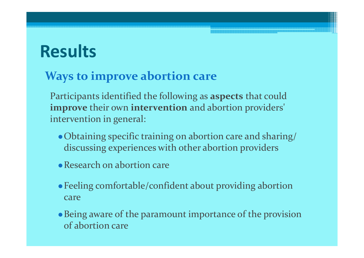### **Ways to improve abortion care**

Participants identified the following as **aspects** that could **improve** their own **intervention** and abortion providers' intervention in general:

- Obtaining specific training on abortion care and sharing/ discussing experiences with other abortion providers
- Research on abortion care
- Feeling comfortable/confident about providing abortion care
- Being aware of the paramount importance of the provision of abortion care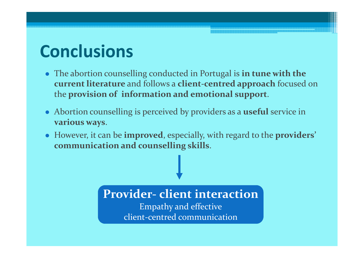### **Conclusions**

- The abortion counselling conducted in Portugal is **in tune with the current literature** and follows a **client-centred approach** focused on the **provision of information and emotional support**.
- Abortion counselling is perceived by providers as a **useful** service in **various ways**.
- However, it can be **improved**, especially, with regard to the **providers' communication and counselling skills**.

#### **Provider- client interaction**

Empathy and effectiveclient-centred communication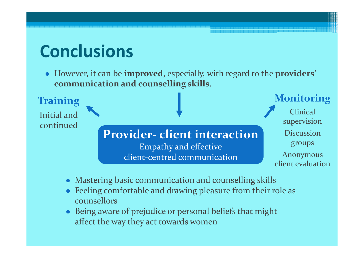### **Conclusions**

Initial and

**Training**

continued

 However, it can be **improved**, especially, with regard to the **providers' communication and counselling skills**.

> **Provider- client interaction**Empathy and effectiveclient-centred communication

Clinical supervisionDiscussion groups

**Monitoring**

Anonymous client evaluation

- Mastering basic communication and counselling skills
- Feeling comfortable and drawing pleasure from their role as counsellors
- Being aware of prejudice or personal beliefs that might affect the way they act towards women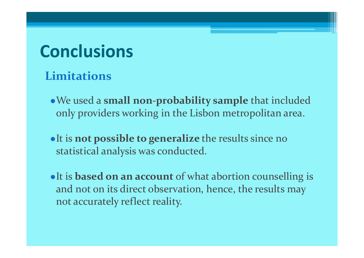### **Conclusions**

### **Limitations**

- We used a **small non-probability sample** that included only providers working in the Lisbon metropolitan area.
- It is **not possible to generalize** the results since no statistical analysis was conducted.
- It is **based on an account** of what abortion counselling is and not on its direct observation, hence, the results may not accurately reflect reality.